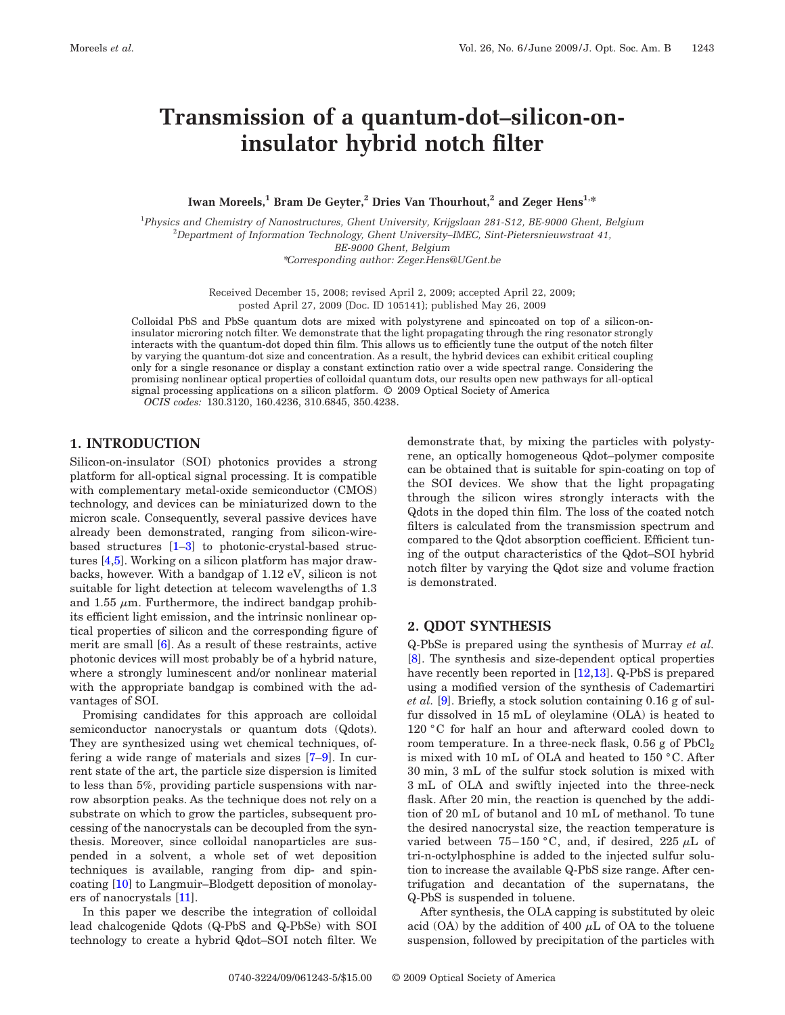# **Transmission of a quantum-dot–silicon-oninsulator hybrid notch filter**

Iwan Moreels,<sup>1</sup> Bram De Geyter,<sup>2</sup> Dries Van Thourhout,<sup>2</sup> and Zeger Hens<sup>1,\*</sup>

1 *Physics and Chemistry of Nanostructures, Ghent University, Krijgslaan 281-S12, BE-9000 Ghent, Belgium* 2 *Department of Information Technology, Ghent University–IMEC, Sint-Pietersnieuwstraat 41, BE-9000 Ghent, Belgium* \**Corresponding author: Zeger.Hens@UGent.be*

> Received December 15, 2008; revised April 2, 2009; accepted April 22, 2009; posted April 27, 2009 (Doc. ID 105141); published May 26, 2009

Colloidal PbS and PbSe quantum dots are mixed with polystyrene and spincoated on top of a silicon-oninsulator microring notch filter. We demonstrate that the light propagating through the ring resonator strongly interacts with the quantum-dot doped thin film. This allows us to efficiently tune the output of the notch filter by varying the quantum-dot size and concentration. As a result, the hybrid devices can exhibit critical coupling only for a single resonance or display a constant extinction ratio over a wide spectral range. Considering the promising nonlinear optical properties of colloidal quantum dots, our results open new pathways for all-optical signal processing applications on a silicon platform. © 2009 Optical Society of America *OCIS codes:* 130.3120, 160.4236, 310.6845, 350.4238.

## **1. INTRODUCTION**

Silicon-on-insulator (SOI) photonics provides a strong platform for all-optical signal processing. It is compatible with complementary metal-oxide semiconductor (CMOS) technology, and devices can be miniaturized down to the micron scale. Consequently, several passive devices have already been demonstrated, ranging from silicon-wirebased structures [\[1–](#page-4-0)[3\]](#page-4-1) to photonic-crystal-based structures [\[4,](#page-4-2)[5\]](#page-4-3). Working on a silicon platform has major drawbacks, however. With a bandgap of 1.12 eV, silicon is not suitable for light detection at telecom wavelengths of 1.3 and 1.55  $\mu$ m. Furthermore, the indirect bandgap prohibits efficient light emission, and the intrinsic nonlinear optical properties of silicon and the corresponding figure of merit are small [\[6\]](#page-4-4). As a result of these restraints, active photonic devices will most probably be of a hybrid nature, where a strongly luminescent and/or nonlinear material with the appropriate bandgap is combined with the advantages of SOI.

Promising candidates for this approach are colloidal semiconductor nanocrystals or quantum dots (Qdots). They are synthesized using wet chemical techniques, offering a wide range of materials and sizes [\[7](#page-4-5)[–9\]](#page-4-6). In current state of the art, the particle size dispersion is limited to less than 5%, providing particle suspensions with narrow absorption peaks. As the technique does not rely on a substrate on which to grow the particles, subsequent processing of the nanocrystals can be decoupled from the synthesis. Moreover, since colloidal nanoparticles are suspended in a solvent, a whole set of wet deposition techniques is available, ranging from dip- and spincoating [\[10\]](#page-4-7) to Langmuir–Blodgett deposition of monolayers of nanocrystals [\[11\]](#page-4-8).

In this paper we describe the integration of colloidal lead chalcogenide Qdots (Q-PbS and Q-PbSe) with SOI technology to create a hybrid Qdot–SOI notch filter. We

demonstrate that, by mixing the particles with polystyrene, an optically homogeneous Qdot–polymer composite can be obtained that is suitable for spin-coating on top of the SOI devices. We show that the light propagating through the silicon wires strongly interacts with the Qdots in the doped thin film. The loss of the coated notch filters is calculated from the transmission spectrum and compared to the Qdot absorption coefficient. Efficient tuning of the output characteristics of the Qdot–SOI hybrid notch filter by varying the Qdot size and volume fraction is demonstrated.

#### **2. QDOT SYNTHESIS**

Q-PbSe is prepared using the synthesis of Murray *et al.* [\[8\]](#page-4-9). The synthesis and size-dependent optical properties have recently been reported in [\[12,](#page-4-10)[13\]](#page-4-11). Q-PbS is prepared using a modified version of the synthesis of Cademartiri *et al.* [\[9\]](#page-4-6). Briefly, a stock solution containing 0.16 g of sulfur dissolved in 15 mL of oleylamine (OLA) is heated to 120 °C for half an hour and afterward cooled down to room temperature. In a three-neck flask,  $0.56$  g of PbCl<sub>2</sub> is mixed with 10 mL of OLA and heated to 150 °C. After 30 min, 3 mL of the sulfur stock solution is mixed with 3 mL of OLA and swiftly injected into the three-neck flask. After 20 min, the reaction is quenched by the addition of 20 mL of butanol and 10 mL of methanol. To tune the desired nanocrystal size, the reaction temperature is varied between 75–150 °C, and, if desired, 225  $\mu$ L of tri-n-octylphosphine is added to the injected sulfur solution to increase the available Q-PbS size range. After centrifugation and decantation of the supernatans, the Q-PbS is suspended in toluene.

After synthesis, the OLA capping is substituted by oleic acid (OA) by the addition of 400  $\mu$ L of OA to the toluene suspension, followed by precipitation of the particles with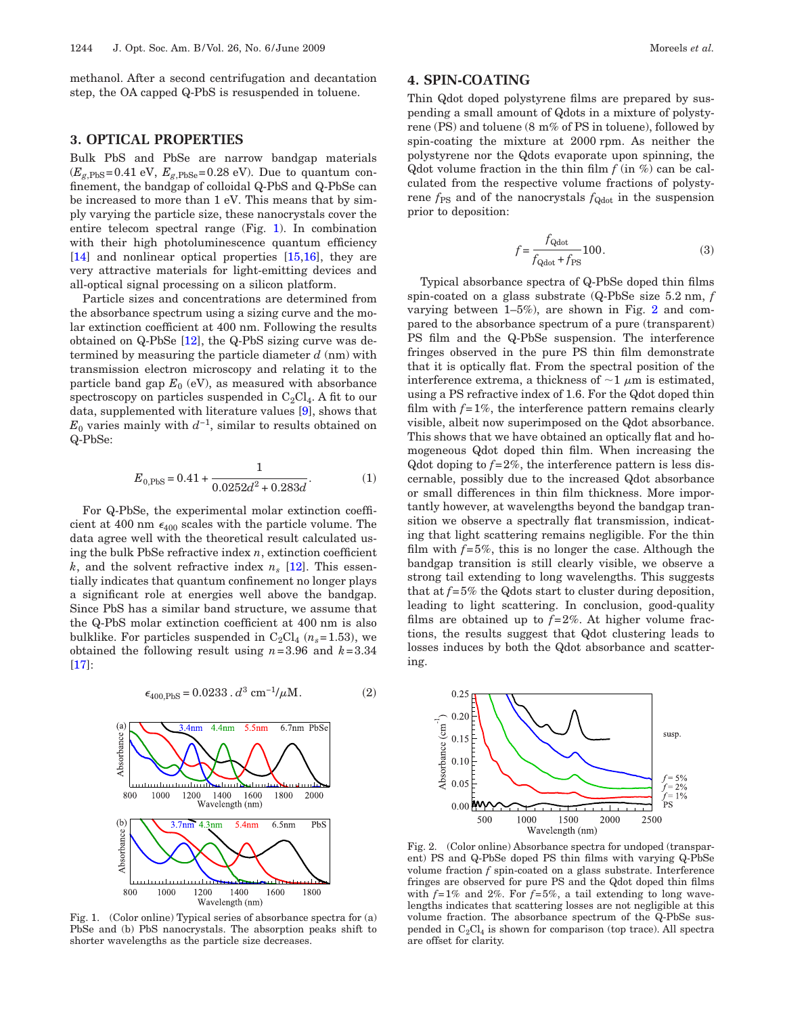methanol. After a second centrifugation and decantation step, the OA capped Q-PbS is resuspended in toluene.

#### **3. OPTICAL PROPERTIES**

Bulk PbS and PbSe are narrow bandgap materials  $(E_{g, PbS}=0.41 \text{ eV}, E_{g, PbSe}=0.28 \text{ eV})$ . Due to quantum confinement, the bandgap of colloidal Q-PbS and Q-PbSe can be increased to more than 1 eV. This means that by simply varying the particle size, these nanocrystals cover the entire telecom spectral range (Fig. [1\)](#page-1-0). In combination with their high photoluminescence quantum efficiency [\[14\]](#page-4-12) and nonlinear optical properties [\[15](#page-4-13)[,16\]](#page-4-14), they are very attractive materials for light-emitting devices and all-optical signal processing on a silicon platform.

Particle sizes and concentrations are determined from the absorbance spectrum using a sizing curve and the molar extinction coefficient at 400 nm. Following the results obtained on  $Q$ -PbSe  $[12]$ , the  $Q$ -PbS sizing curve was determined by measuring the particle diameter *d* (nm) with transmission electron microscopy and relating it to the particle band gap  $E_0$  (eV), as measured with absorbance spectroscopy on particles suspended in  $C_2Cl_4$ . A fit to our data, supplemented with literature values [\[9\]](#page-4-6), shows that  $E_0$  varies mainly with  $d^{-1}$ , similar to results obtained on Q-PbSe:

$$
E_{0,\text{PbS}} = 0.41 + \frac{1}{0.0252d^2 + 0.283d}.
$$
 (1)

For Q-PbSe, the experimental molar extinction coefficient at 400 nm  $\epsilon_{400}$  scales with the particle volume. The data agree well with the theoretical result calculated using the bulk PbSe refractive index *n*, extinction coefficient *k*, and the solvent refractive index  $n_s$  [\[12\]](#page-4-10). This essentially indicates that quantum confinement no longer plays a significant role at energies well above the bandgap. Since PbS has a similar band structure, we assume that the Q-PbS molar extinction coefficient at 400 nm is also bulklike. For particles suspended in  $C_2Cl_4$   $(n_s=1.53)$ , we obtained the following result using *n*=3.96 and *k*=3.34 [\[17\]](#page-4-15):

> $\epsilon_{400, \text{PbS}} = 0.0233 \cdot d^3 \text{ cm}^{-1}/\mu\text{M}.$  (2)  $(2)$

<span id="page-1-0"></span>

Fig. 1. (Color online) Typical series of absorbance spectra for (a) PbSe and (b) PbS nanocrystals. The absorption peaks shift to shorter wavelengths as the particle size decreases.

## **4. SPIN-COATING**

Thin Qdot doped polystyrene films are prepared by suspending a small amount of Qdots in a mixture of polystyrene (PS) and toluene (8 m% of PS in toluene), followed by spin-coating the mixture at 2000 rpm. As neither the polystyrene nor the Qdots evaporate upon spinning, the Qdot volume fraction in the thin film  $f$  (in  $\%$ ) can be calculated from the respective volume fractions of polystyrene  $f_{PS}$  and of the nanocrystals  $f_{Qdot}$  in the suspension prior to deposition:

$$
f = \frac{f_{\text{Qdot}}}{f_{\text{Qdot}} + f_{\text{PS}}} 100. \tag{3}
$$

Typical absorbance spectra of Q-PbSe doped thin films spin-coated on a glass substrate (Q-PbSe size 5.2 nm, *f* varying between 1–5%), are shown in Fig. [2](#page-1-1) and compared to the absorbance spectrum of a pure (transparent) PS film and the Q-PbSe suspension. The interference fringes observed in the pure PS thin film demonstrate that it is optically flat. From the spectral position of the interference extrema, a thickness of  $\sim$ 1  $\mu$ m is estimated, using a PS refractive index of 1.6. For the Qdot doped thin film with  $f=1\%$ , the interference pattern remains clearly visible, albeit now superimposed on the Qdot absorbance. This shows that we have obtained an optically flat and homogeneous Qdot doped thin film. When increasing the Qdot doping to *f*=2%, the interference pattern is less discernable, possibly due to the increased Qdot absorbance or small differences in thin film thickness. More importantly however, at wavelengths beyond the bandgap transition we observe a spectrally flat transmission, indicating that light scattering remains negligible. For the thin film with  $f=5\%$ , this is no longer the case. Although the bandgap transition is still clearly visible, we observe a strong tail extending to long wavelengths. This suggests that at  $f=5\%$  the Q dots start to cluster during deposition, leading to light scattering. In conclusion, good-quality films are obtained up to  $f=2\%$ . At higher volume fractions, the results suggest that Qdot clustering leads to losses induces by both the Qdot absorbance and scattering.

<span id="page-1-1"></span>

Fig. 2. (Color online) Absorbance spectra for undoped (transparent) PS and Q-PbSe doped PS thin films with varying Q-PbSe volume fraction *f* spin-coated on a glass substrate. Interference fringes are observed for pure PS and the Qdot doped thin films with  $f=1\%$  and  $2\%$ . For  $f=5\%$ , a tail extending to long wavelengths indicates that scattering losses are not negligible at this volume fraction. The absorbance spectrum of the Q-PbSe suspended in  $C_2Cl_4$  is shown for comparison (top trace). All spectra are offset for clarity.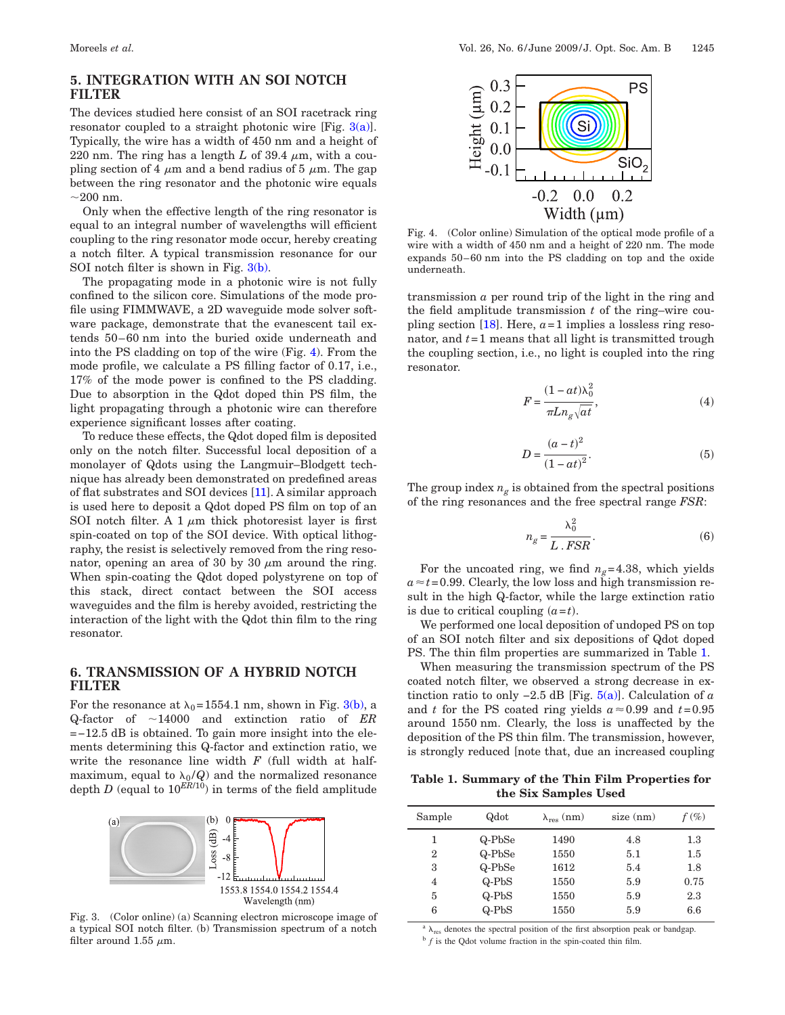## **5. INTEGRATION WITH AN SOI NOTCH FILTER**

The devices studied here consist of an SOI racetrack ring resonator coupled to a straight photonic wire [Fig. [3\(a\)\]](#page-2-0). Typically, the wire has a width of 450 nm and a height of 220 nm. The ring has a length  $L$  of 39.4  $\mu$ m, with a coupling section of 4  $\mu$ m and a bend radius of 5  $\mu$ m. The gap between the ring resonator and the photonic wire equals  $\sim$ 200 nm.

Only when the effective length of the ring resonator is equal to an integral number of wavelengths will efficient coupling to the ring resonator mode occur, hereby creating a notch filter. A typical transmission resonance for our SOI notch filter is shown in Fig.  $3(b)$ .

The propagating mode in a photonic wire is not fully confined to the silicon core. Simulations of the mode profile using FIMMWAVE, a 2D waveguide mode solver software package, demonstrate that the evanescent tail extends 50–60 nm into the buried oxide underneath and into the PS cladding on top of the wire (Fig. [4\)](#page-2-1). From the mode profile, we calculate a PS filling factor of 0.17, i.e., 17% of the mode power is confined to the PS cladding. Due to absorption in the Qdot doped thin PS film, the light propagating through a photonic wire can therefore experience significant losses after coating.

To reduce these effects, the Qdot doped film is deposited only on the notch filter. Successful local deposition of a monolayer of Qdots using the Langmuir–Blodgett technique has already been demonstrated on predefined areas of flat substrates and SOI devices [\[11\]](#page-4-8). A similar approach is used here to deposit a Qdot doped PS film on top of an SOI notch filter. A 1  $\mu$ m thick photoresist layer is first spin-coated on top of the SOI device. With optical lithography, the resist is selectively removed from the ring resonator, opening an area of 30 by 30  $\mu$ m around the ring. When spin-coating the Qdot doped polystyrene on top of this stack, direct contact between the SOI access waveguides and the film is hereby avoided, restricting the interaction of the light with the Qdot thin film to the ring resonator.

#### **6. TRANSMISSION OF A HYBRID NOTCH FILTER**

For the resonance at  $\lambda_0$ =1554.1 nm, shown in Fig. [3\(b\),](#page-2-0) a Q-factor of 14000 and extinction ratio of *ER* =−12.5 dB is obtained. To gain more insight into the elements determining this Q-factor and extinction ratio, we write the resonance line width *F* (full width at halfmaximum, equal to  $\lambda_0/Q$  and the normalized resonance depth *D* (equal to  $10^{ER/10}$ ) in terms of the field amplitude

<span id="page-2-0"></span>

Fig. 3. (Color online) (a) Scanning electron microscope image of a typical SOI notch filter. (b) Transmission spectrum of a notch filter around 1.55  $\mu$ m.

<span id="page-2-1"></span>

Fig. 4. (Color online) Simulation of the optical mode profile of a wire with a width of 450 nm and a height of 220 nm. The mode expands 50–60 nm into the PS cladding on top and the oxide underneath.

transmission *a* per round trip of the light in the ring and the field amplitude transmission *t* of the ring–wire coupling section  $[18]$ . Here,  $a=1$  implies a lossless ring resonator, and *t*=1 means that all light is transmitted trough the coupling section, i.e., no light is coupled into the ring resonator.

$$
F = \frac{(1 - at)\lambda_0^2}{\pi L n_g \sqrt{at}},\tag{4}
$$

$$
D = \frac{(a-t)^2}{(1-at)^2}.
$$
 (5)

<span id="page-2-3"></span>The group index  $n_g$  is obtained from the spectral positions of the ring resonances and the free spectral range *FSR*:

$$
n_g = \frac{\lambda_0^2}{L \cdot FSR}.
$$
 (6)

For the uncoated ring, we find  $n_g$ =4.38, which yields  $a \approx t = 0.99$ . Clearly, the low loss and high transmission result in the high Q-factor, while the large extinction ratio is due to critical coupling  $(a=t)$ .

We performed one local deposition of undoped PS on top of an SOI notch filter and six depositions of Qdot doped PS. The thin film properties are summarized in Table [1.](#page-2-2)

When measuring the transmission spectrum of the PS coated notch filter, we observed a strong decrease in extinction ratio to only  $-2.5$  dB [Fig.  $5(a)$ ]. Calculation of *a* and *t* for the PS coated ring yields  $a \approx 0.99$  and  $t = 0.95$ around 1550 nm. Clearly, the loss is unaffected by the deposition of the PS thin film. The transmission, however, is strongly reduced [note that, due an increased coupling

<span id="page-2-2"></span>**Table 1. Summary of the Thin Film Properties for the Six Samples Used**

| Sample         | Qdot    | $\lambda_{res}$ (nm) | $size$ (nm) | $f(\%)$ |
|----------------|---------|----------------------|-------------|---------|
| 1              | Q-PbSe  | 1490                 | 4.8         | $1.3\,$ |
| $\overline{2}$ | Q-PbSe  | 1550                 | 5.1         | 1.5     |
| 3              | Q-PbSe  | 1612                 | 5.4         | 1.8     |
| 4              | $Q-PbS$ | 1550                 | 5.9         | 0.75    |
| 5              | $Q-PbS$ | 1550                 | 5.9         | 2.3     |
| 6              | $Q-PbS$ | 1550                 | 5.9         | 6.6     |

 $\lambda_{\text{res}}$  denotes the spectral position of the first absorption peak or bandgap. <sup>b</sup> *f* is the Qdot volume fraction in the spin-coated thin film.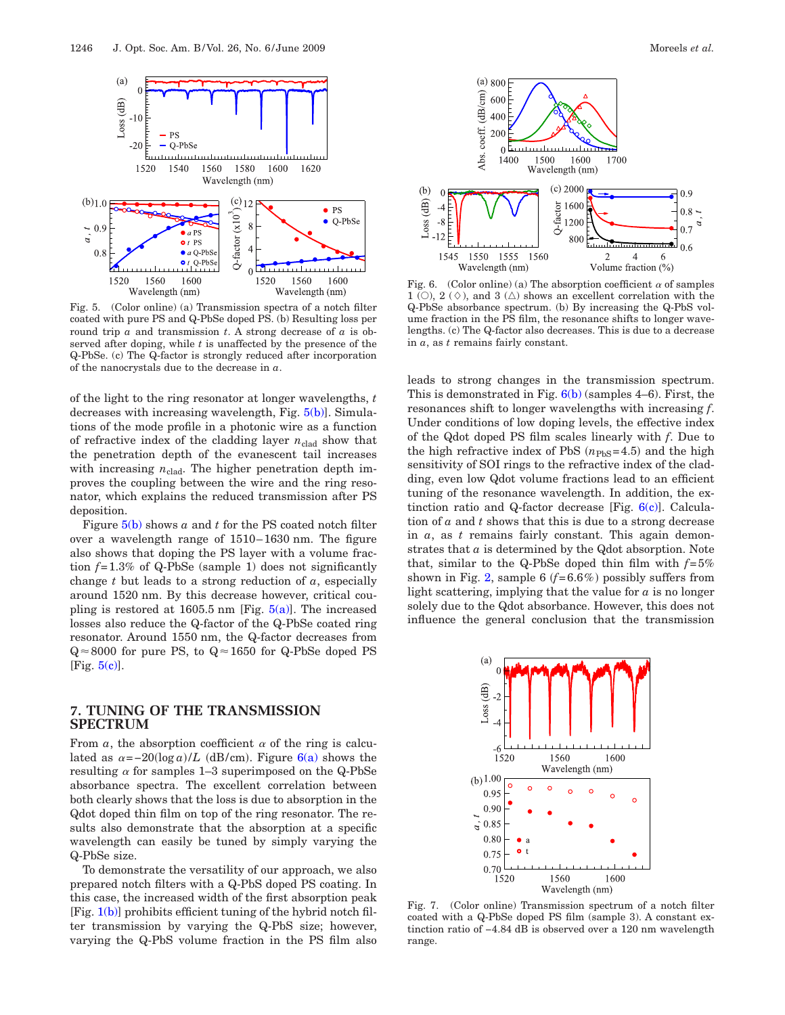<span id="page-3-0"></span>

Fig. 5. (Color online) (a) Transmission spectra of a notch filter coated with pure PS and Q-PbSe doped PS. (b) Resulting loss per round trip *a* and transmission *t*. A strong decrease of *a* is observed after doping, while *t* is unaffected by the presence of the Q-PbSe. (c) The Q-factor is strongly reduced after incorporation of the nanocrystals due to the decrease in *a*.

of the light to the ring resonator at longer wavelengths, *t* decreases with increasing wavelength, Fig. [5\(b\)\]](#page-3-0). Simulations of the mode profile in a photonic wire as a function of refractive index of the cladding layer  $n_{\text{clad}}$  show that the penetration depth of the evanescent tail increases with increasing  $n_{\text{clad}}$ . The higher penetration depth improves the coupling between the wire and the ring resonator, which explains the reduced transmission after PS deposition.

Figure [5\(b\)](#page-3-0) shows *a* and *t* for the PS coated notch filter over a wavelength range of 1510–1630 nm. The figure also shows that doping the PS layer with a volume fraction *f*=1.3% of Q-PbSe (sample 1) does not significantly change *t* but leads to a strong reduction of *a*, especially around 1520 nm. By this decrease however, critical coupling is restored at 1605.5 nm [Fig.  $5(a)$ ]. The increased losses also reduce the Q-factor of the Q-PbSe coated ring resonator. Around 1550 nm, the Q-factor decreases from  $Q \approx 8000$  for pure PS, to  $Q \approx 1650$  for Q-PbSe doped PS [Fig.  $5(c)$ ].

### **7. TUNING OF THE TRANSMISSION SPECTRUM**

From  $\alpha$ , the absorption coefficient  $\alpha$  of the ring is calculated as  $\alpha = -20(\log a)/L$  (dB/cm). Figure  $6(a)$  shows the resulting  $\alpha$  for samples 1–3 superimposed on the Q-PbSe absorbance spectra. The excellent correlation between both clearly shows that the loss is due to absorption in the Qdot doped thin film on top of the ring resonator. The results also demonstrate that the absorption at a specific wavelength can easily be tuned by simply varying the Q-PbSe size.

To demonstrate the versatility of our approach, we also prepared notch filters with a Q-PbS doped PS coating. In this case, the increased width of the first absorption peak  $[Fig, 1(b)]$  $[Fig, 1(b)]$  prohibits efficient tuning of the hybrid notch filter transmission by varying the Q-PbS size; however, varying the Q-PbS volume fraction in the PS film also

<span id="page-3-1"></span>

Fig. 6. (Color online) (a) The absorption coefficient  $\alpha$  of samples  $1$  (O),  $2$  ( $\diamond$ ), and  $3$  ( $\triangle$ ) shows an excellent correlation with the Q-PbSe absorbance spectrum. (b) By increasing the Q-PbS volume fraction in the PS film, the resonance shifts to longer wavelengths. (c) The Q-factor also decreases. This is due to a decrease in *a*, as *t* remains fairly constant.

leads to strong changes in the transmission spectrum. This is demonstrated in Fig.  $6(b)$  (samples 4–6). First, the resonances shift to longer wavelengths with increasing *f*. Under conditions of low doping levels, the effective index of the Qdot doped PS film scales linearly with *f*. Due to the high refractive index of PbS  $(n_{\text{PbS}}=4.5)$  and the high sensitivity of SOI rings to the refractive index of the cladding, even low Qdot volume fractions lead to an efficient tuning of the resonance wavelength. In addition, the extinction ratio and Q-factor decrease [Fig.  $6(c)$ ]. Calculation of *a* and *t* shows that this is due to a strong decrease in *a*, as *t* remains fairly constant. This again demonstrates that *a* is determined by the Qdot absorption. Note that, similar to the Q-PbSe doped thin film with  $f=5%$ shown in Fig. [2,](#page-1-1) sample  $6(f=6.6\%)$  possibly suffers from light scattering, implying that the value for *a* is no longer solely due to the Qdot absorbance. However, this does not influence the general conclusion that the transmission

<span id="page-3-2"></span>

Fig. 7. (Color online) Transmission spectrum of a notch filter coated with a Q-PbSe doped PS film (sample 3). A constant extinction ratio of −4.84 dB is observed over a 120 nm wavelength range.